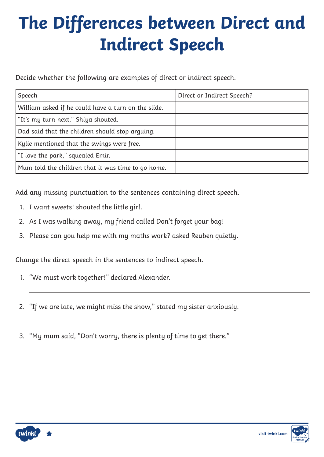Decide whether the following are examples of direct or indirect speech.

| Speech                                              | Direct or Indirect Speech? |
|-----------------------------------------------------|----------------------------|
| William asked if he could have a turn on the slide. |                            |
| "It's my turn next," Shiya shouted.                 |                            |
| Dad said that the children should stop arquing.     |                            |
| Kylie mentioned that the swings were free.          |                            |
| "I love the park," squealed Emir.                   |                            |
| Mum told the children that it was time to go home.  |                            |

Add any missing punctuation to the sentences containing direct speech.

- 1. I want sweets! shouted the little girl.
- 2. As I was walking away, my friend called Don't forget your bag!
- 3. Please can you help me with my maths work? asked Reuben quietly.

Change the direct speech in the sentences to indirect speech.

- 1. "We must work together!" declared Alexander.
- 2. "If we are late, we might miss the show," stated my sister anxiously.
- 3. "My mum said, "Don't worry, there is plenty of time to get there."

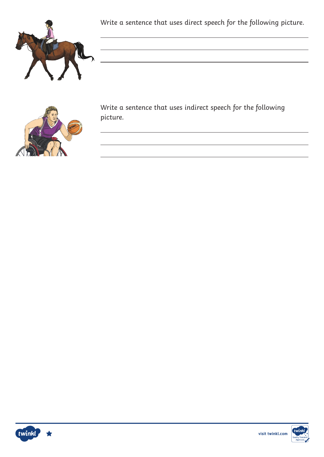

Write a sentence that uses direct speech for the following picture.



Write a sentence that uses indirect speech for the following picture.



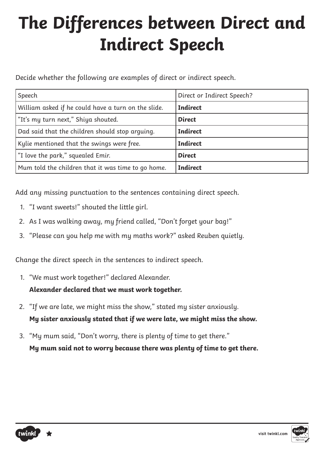Decide whether the following are examples of direct or indirect speech.

| Speech                                              | Direct or Indirect Speech? |
|-----------------------------------------------------|----------------------------|
| William asked if he could have a turn on the slide. | <b>Indirect</b>            |
| "It's my turn next," Shiya shouted.                 | <b>Direct</b>              |
| Dad said that the children should stop arguing.     | <b>Indirect</b>            |
| Kylie mentioned that the swings were free.          | <b>Indirect</b>            |
| "I love the park," squealed Emir.                   | <b>Direct</b>              |
| Mum told the children that it was time to go home.  | <b>Indirect</b>            |

Add any missing punctuation to the sentences containing direct speech.

- 1. "I want sweets!" shouted the little girl.
- 2. As I was walking away, my friend called, "Don't forget your bag!"
- 3. "Please can you help me with my maths work?" asked Reuben quietly.

Change the direct speech in the sentences to indirect speech.

1. "We must work together!" declared Alexander.

#### **Alexander declared that we must work together.**

- 2. "If we are late, we might miss the show," stated my sister anxiously. **My sister anxiously stated that if we were late, we might miss the show.**
- 3. "My mum said, "Don't worry, there is plenty of time to get there." **My mum said not to worry because there was plenty of time to get there.**

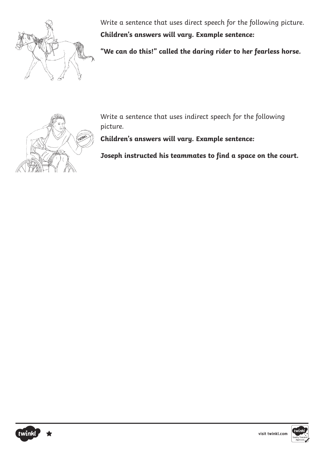

Write a sentence that uses direct speech for the following picture. **Children's answers will vary. Example sentence:**

**"We can do this!" called the daring rider to her fearless horse.**



Write a sentence that uses indirect speech for the following picture.

**Children's answers will vary. Example sentence:**

**Joseph instructed his teammates to find a space on the court.** 



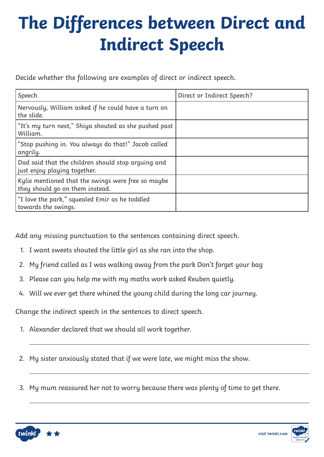Decide whether the following are examples of direct or indirect speech.

| Speech                                                                                | Direct or Indirect Speech? |
|---------------------------------------------------------------------------------------|----------------------------|
| Nervously, William asked if he could have a turn on<br>the slide.                     |                            |
| "It's my turn next," Shiya shouted as she pushed past<br>William.                     |                            |
| "Stop pushing in. You always do that!" Jacob called<br>angrily.                       |                            |
| Dad said that the children should stop arguing and<br>just enjoy playing together.    |                            |
| Kylie mentioned that the swings were free so maybe<br>they should go on them instead. |                            |
| "I love the park," squealed Emir as he toddled<br>towards the swings.                 |                            |

Add any missing punctuation to the sentences containing direct speech.

- 1. I want sweets shouted the little girl as she ran into the shop.
- 2. My friend called as I was walking away from the park Don't forget your bag
- 3. Please can you help me with my maths work asked Reuben quietly.
- 4. Will we ever get there whined the young child during the long car journey.

Change the indirect speech in the sentences to direct speech.

- 1. Alexander declared that we should all work together.
- 2. My sister anxiously stated that if we were late, we might miss the show.
- 3. My mum reassured her not to worry because there was plenty of time to get there.



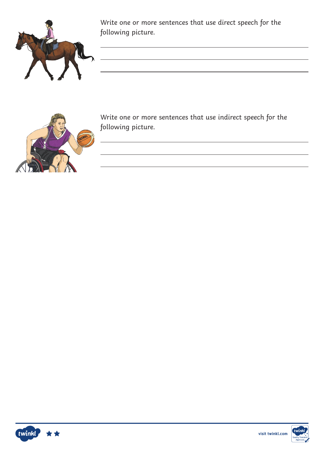

Write one or more sentences that use direct speech for the following picture.

<u> 1989 - Johann Stoff, deutscher Stoff, der Stoff, der Stoff, der Stoff, der Stoff, der Stoff, der Stoff, der S</u>



Write one or more sentences that use indirect speech for the following picture.



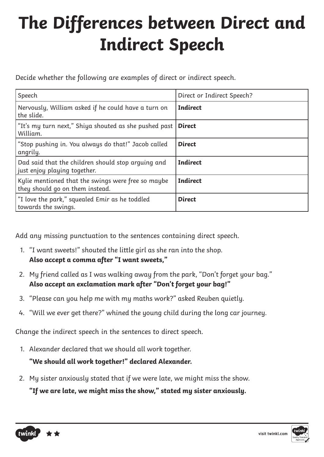Decide whether the following are examples of direct or indirect speech.

| Speech                                                                                | Direct or Indirect Speech? |
|---------------------------------------------------------------------------------------|----------------------------|
| Nervously, William asked if he could have a turn on<br>the slide.                     | <b>Indirect</b>            |
| "It's my turn next," Shiya shouted as she pushed past<br>William.                     | <b>Direct</b>              |
| "Stop pushing in. You always do that!" Jacob called<br>angrily.                       | <b>Direct</b>              |
| Dad said that the children should stop arguing and<br>just enjoy playing together.    | <b>Indirect</b>            |
| Kylie mentioned that the swings were free so maybe<br>they should go on them instead. | <b>Indirect</b>            |
| "I love the park," squealed Emir as he toddled<br>towards the swings.                 | <b>Direct</b>              |

Add any missing punctuation to the sentences containing direct speech.

- 1. "I want sweets!" shouted the little girl as she ran into the shop. **Also accept a comma after "I want sweets,"**
- 2. My friend called as I was walking away from the park, "Don't forget your bag." **Also accept an exclamation mark after "Don't forget your bag!"**
- 3. "Please can you help me with my maths work?" asked Reuben quietly.
- 4. "Will we ever get there?" whined the young child during the long car journey.

Change the indirect speech in the sentences to direct speech.

1. Alexander declared that we should all work together.

**"We should all work together!" declared Alexander.** 

2. My sister anxiously stated that if we were late, we might miss the show.

**"If we are late, we might miss the show," stated my sister anxiously.**

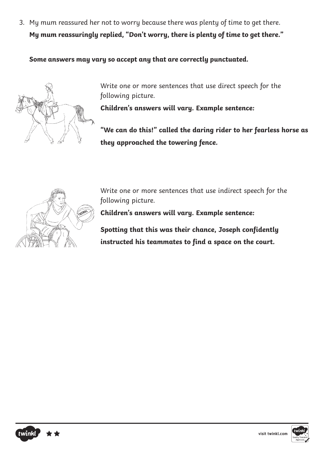3. My mum reassured her not to worry because there was plenty of time to get there. **My mum reassuringly replied, "Don't worry, there is plenty of time to get there."**

**Some answers may vary so accept any that are correctly punctuated.**



Write one or more sentences that use direct speech for the following picture.

**Children's answers will vary. Example sentence:**

**"We can do this!" called the daring rider to her fearless horse as they approached the towering fence.** 



Write one or more sentences that use indirect speech for the following picture.

**Children's answers will vary. Example sentence:**

**Spotting that this was their chance, Joseph confidently instructed his teammates to find a space on the court.** 



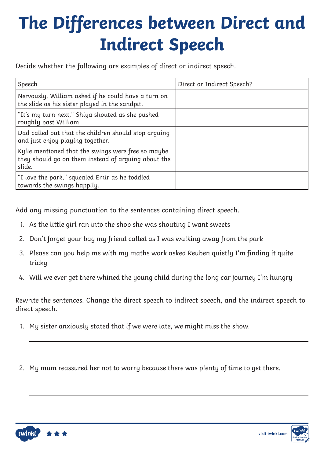Decide whether the following are examples of direct or indirect speech.

| Speech                                                                                                              | Direct or Indirect Speech? |
|---------------------------------------------------------------------------------------------------------------------|----------------------------|
| Nervously, William asked if he could have a turn on<br>the slide as his sister played in the sandpit.               |                            |
| "It's my turn next," Shiya shouted as she pushed<br>roughly past William.                                           |                            |
| Dad called out that the children should stop arguing<br>and just enjoy playing together.                            |                            |
| Kylie mentioned that the swings were free so maybe<br>they should go on them instead of arguing about the<br>slide. |                            |
| "I love the park," squealed Emir as he toddled<br>towards the swings happily.                                       |                            |

Add any missing punctuation to the sentences containing direct speech.

- 1. As the little girl ran into the shop she was shouting I want sweets
- 2. Don't forget your bag my friend called as I was walking away from the park
- 3. Please can you help me with my maths work asked Reuben quietly I'm finding it quite tricky
- 4. Will we ever get there whined the young child during the long car journey I'm hungry

Rewrite the sentences. Change the direct speech to indirect speech, and the indirect speech to direct speech.

- 1. My sister anxiously stated that if we were late, we might miss the show.
- 2. My mum reassured her not to worry because there was plenty of time to get there.



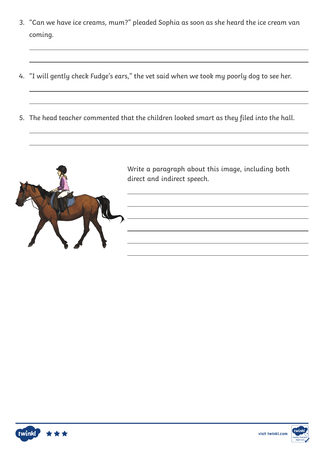- 3. "Can we have ice creams, mum?" pleaded Sophia as soon as she heard the ice cream van coming.
- 4. "I will gently check Fudge's ears," the vet said when we took my poorly dog to see her.
- 5. The head teacher commented that the children looked smart as they filed into the hall.





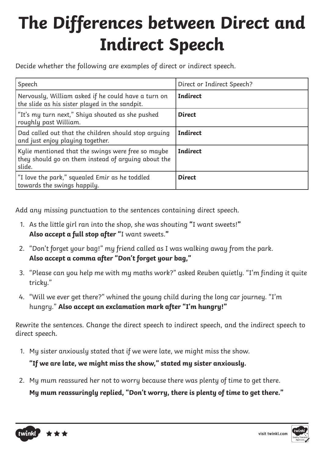Decide whether the following are examples of direct or indirect speech.

| Speech                                                                                                              | Direct or Indirect Speech? |
|---------------------------------------------------------------------------------------------------------------------|----------------------------|
| Nervously, William asked if he could have a turn on<br>the slide as his sister played in the sandpit.               | <b>Indirect</b>            |
| "It's my turn next," Shiya shouted as she pushed<br>roughly past William.                                           | <b>Direct</b>              |
| Dad called out that the children should stop arquing<br>and just enjoy playing together.                            | <b>Indirect</b>            |
| Kylie mentioned that the swings were free so maybe<br>they should go on them instead of arguing about the<br>slide. | <b>Indirect</b>            |
| "I love the park," squealed Emir as he toddled<br>towards the swings happily.                                       | <b>Direct</b>              |

Add any missing punctuation to the sentences containing direct speech.

- 1. As the little girl ran into the shop, she was shouting **"**I want sweets!**" Also accept a full stop after "**I want sweets.**"**
- 2. "Don't forget your bag!" my friend called as I was walking away from the park. **Also accept a comma after "Don't forget your bag,"**
- 3. "Please can you help me with my maths work?" asked Reuben quietly. "I'm finding it quite tricky."
- 4. "Will we ever get there?" whined the young child during the long car journey. "I'm hungry." **Also accept an exclamation mark after "I'm hungry!"**

Rewrite the sentences. Change the direct speech to indirect speech, and the indirect speech to direct speech.

1. My sister anxiously stated that if we were late, we might miss the show.

**"If we are late, we might miss the show," stated my sister anxiously.**

2. My mum reassured her not to worry because there was plenty of time to get there.

**My mum reassuringly replied, "Don't worry, there is plenty of time to get there."**